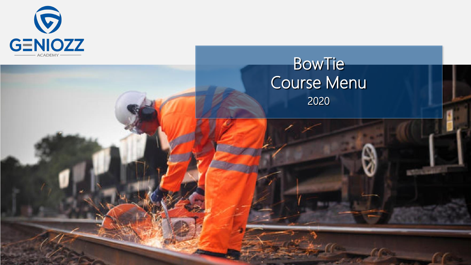

# **BowTie** Course Menu 2020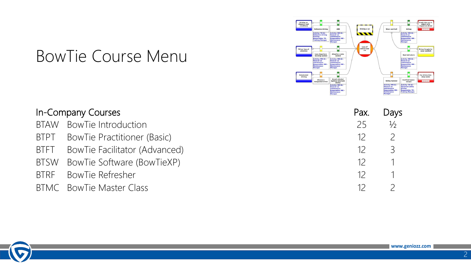# BowTie Course Menu



#### In-Company Courses **Pax.** Days BTAW BowTie Introduction 25  $\frac{1}{2}$ BTPT BowTie Practitioner (Basic) 12 2 BTFT BowTie Facilitator (Advanced) 12 3 BTSW BowTie Software (BowTieXP) 12 BTRF BowTie Refresher 12

BTMC BowTie Master Class 2



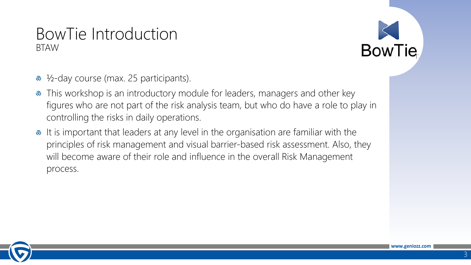#### BowTie Introduction BTAW



- ½-day course (max. 25 participants).  $\odot$
- This workshop is an introductory module for leaders, managers and other key  $\odot$ figures who are not part of the risk analysis team, but who do have a role to play in controlling the risks in daily operations.
- $\bullet$  It is important that leaders at any level in the organisation are familiar with the principles of risk management and visual barrier-based risk assessment. Also, they will become aware of their role and influence in the overall Risk Management process.

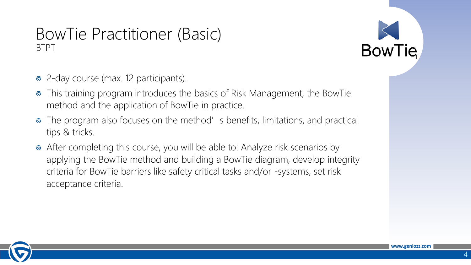#### BowTie Practitioner (Basic) BTPT



- 2-day course (max. 12 participants).  $\odot$
- This training program introduces the basics of Risk Management, the BowTie  $\odot$ method and the application of BowTie in practice.
- The program also focuses on the method' s benefits, limitations, and practical  $\odot$ tips & tricks.
- After completing this course, you will be able to: Analyze risk scenarios by applying the BowTie method and building a BowTie diagram, develop integrity criteria for BowTie barriers like safety critical tasks and/or -systems, set risk acceptance criteria.

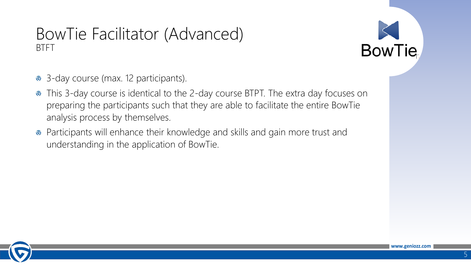#### BowTie Facilitator (Advanced) BTFT



- 3-day course (max. 12 participants).  $\odot$
- This 3-day course is identical to the 2-day course BTPT. The extra day focuses on  $\odot$ preparing the participants such that they are able to facilitate the entire BowTie analysis process by themselves.
- Participants will enhance their knowledge and skills and gain more trust and  $\odot$ understanding in the application of BowTie.

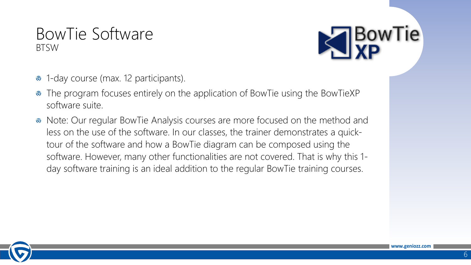#### BowTie Software BTSW



- 1-day course (max. 12 participants).  $\odot$
- The program focuses entirely on the application of BowTie using the BowTieXP  $\odot$ software suite.
- Note: Our regular BowTie Analysis courses are more focused on the method and  $\odot$ less on the use of the software. In our classes, the trainer demonstrates a quicktour of the software and how a BowTie diagram can be composed using the software. However, many other functionalities are not covered. That is why this 1 day software training is an ideal addition to the regular BowTie training courses.

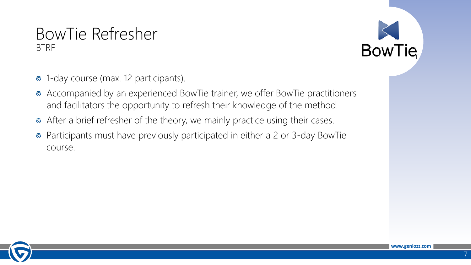#### BowTie Refresher BTRF

**BowTie** 

- 1-day course (max. 12 participants).  $\bf \widehat{\bm \odot}$
- Accompanied by an experienced BowTie trainer, we offer BowTie practitioners and facilitators the opportunity to refresh their knowledge of the method.
- After a brief refresher of the theory, we mainly practice using their cases.
- Participants must have previously participated in either a 2 or 3-day BowTie course.

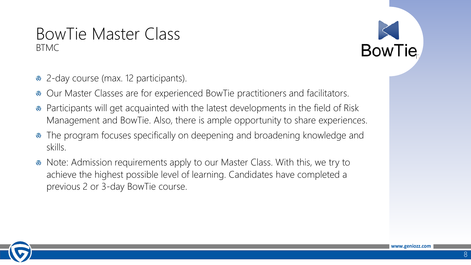#### BowTie Master Class BTMC



- 2-day course (max. 12 participants).  $\odot$
- Our Master Classes are for experienced BowTie practitioners and facilitators.  $\odot$
- Participants will get acquainted with the latest developments in the field of Risk  $\odot$ Management and BowTie. Also, there is ample opportunity to share experiences.
- The program focuses specifically on deepening and broadening knowledge and skills.
- Note: Admission requirements apply to our Master Class. With this, we try to  $\bm{\Theta}$ achieve the highest possible level of learning. Candidates have completed a previous 2 or 3-day BowTie course.

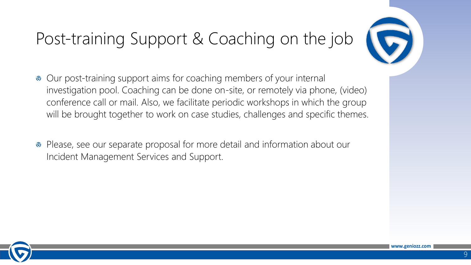# Post-training Support & Coaching on the job



- Our post-training support aims for coaching members of your internal  $\odot$ investigation pool. Coaching can be done on-site, or remotely via phone, (video) conference call or mail. Also, we facilitate periodic workshops in which the group will be brought together to work on case studies, challenges and specific themes.
- Please, see our separate proposal for more detail and information about our  $\bm{\Theta}$ Incident Management Services and Support.

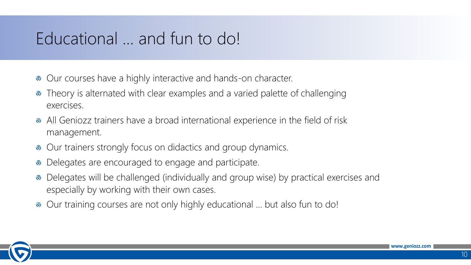## Educational … and fun to do!

- Our courses have a highly interactive and hands-on character.  $\odot$
- Theory is alternated with clear examples and a varied palette of challenging  $\odot$ exercises.
- All Geniozz trainers have a broad international experience in the field of risk management.
- Our trainers strongly focus on didactics and group dynamics.  $\odot$
- Delegates are encouraged to engage and participate.  $\odot$
- Delegates will be challenged (individually and group wise) by practical exercises and  $\odot$ especially by working with their own cases.
- Our training courses are not only highly educational … but also fun to do! $\odot$